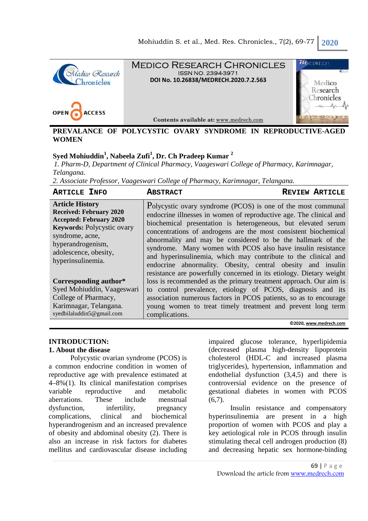



Medico Research Chronicles ISSN NO. 2394-3971 **DOI No. 10.26838/MEDRECH.2020.7.2.563**



**Contents available at:** www.medrech.com

### **PREVALANCE OF POLYCYSTIC OVARY SYNDROME IN REPRODUCTIVE-AGED WOMEN**

# **Syed Mohiuddin<sup>1</sup> , Nabeela Zufi<sup>1</sup> , Dr. Ch Pradeep Kumar <sup>2</sup>**

*1. Pharm-D, Department of Clinical Pharmacy, Vaageswari College of Pharmacy, Karimnagar, Telangana.*

*2. Associate Professor, Vaageswari College of Pharmacy, Karimnagar, Telangana.* 

| <b>ARTICLE INFO</b>                                                                                                                                                                                            | <b>ABSTRACT</b>                                                                                                                                                                                                                                                                                                                                                                                                                                                                                                                                                                                               | <b>REVIEW ARTICLE</b> |
|----------------------------------------------------------------------------------------------------------------------------------------------------------------------------------------------------------------|---------------------------------------------------------------------------------------------------------------------------------------------------------------------------------------------------------------------------------------------------------------------------------------------------------------------------------------------------------------------------------------------------------------------------------------------------------------------------------------------------------------------------------------------------------------------------------------------------------------|-----------------------|
| <b>Article History</b><br><b>Received: February 2020</b><br><b>Accepted: February 2020</b><br>Keywords: Polycystic ovary<br>syndrome, acne,<br>hyperandrogenism,<br>adolescence, obesity,<br>hyperinsulinemia. | Polycystic ovary syndrome (PCOS) is one of the most communal<br>endocrine illnesses in women of reproductive age. The clinical and<br>biochemical presentation is heterogeneous, but elevated serum<br>concentrations of androgens are the most consistent biochemical<br>abnormality and may be considered to be the hallmark of the<br>syndrome. Many women with PCOS also have insulin resistance<br>and hyperinsulinemia, which may contribute to the clinical and<br>endocrine abnormality. Obesity, central obesity and insuline<br>resistance are powerfully concerned in its etiology. Dietary weight |                       |
| Corresponding author*                                                                                                                                                                                          | loss is recommended as the primary treatment approach. Our aim is                                                                                                                                                                                                                                                                                                                                                                                                                                                                                                                                             |                       |
| Syed Mohiuddin, Vaageswari                                                                                                                                                                                     | to control prevalence, etiology of PCOS, diagnosis and its                                                                                                                                                                                                                                                                                                                                                                                                                                                                                                                                                    |                       |
| College of Pharmacy,                                                                                                                                                                                           | association numerous factors in PCOS patients, so as to encourage                                                                                                                                                                                                                                                                                                                                                                                                                                                                                                                                             |                       |
| Karimnagar, Telangana.<br>syedbilaluddin5@gmail.com                                                                                                                                                            | young women to treat timely treatment and prevent long term<br>complications.                                                                                                                                                                                                                                                                                                                                                                                                                                                                                                                                 |                       |
| ©2020, www.medrech.com                                                                                                                                                                                         |                                                                                                                                                                                                                                                                                                                                                                                                                                                                                                                                                                                                               |                       |

#### **INTRODUCTION: 1. About the disease**

Polycystic ovarian syndrome (PCOS) is a common endocrine condition in women of reproductive age with prevalence estimated at 4–8%(1). Its clinical manifestation comprises variable reproductive and metabolic aberrations. These include menstrual dysfunction, infertility, pregnancy complications, clinical and biochemical hyperandrogenism and an increased prevalence of obesity and abdominal obesity (2). There is also an increase in risk factors for diabetes mellitus and cardiovascular disease including impaired glucose tolerance, hyperlipidemia (decreased plasma high-density lipoprotein cholesterol (HDL-C and increased plasma triglycerides), hypertension, inflammation and endothelial dysfunction (3,4,5) and there is controversial evidence on the presence of gestational diabetes in women with PCOS  $(6,7)$ .

Insulin resistance and compensatory hyperinsulinemia are present in a high proportion of women with PCOS and play a key aetiological role in PCOS through insulin stimulating thecal cell androgen production (8) and decreasing hepatic sex hormone-binding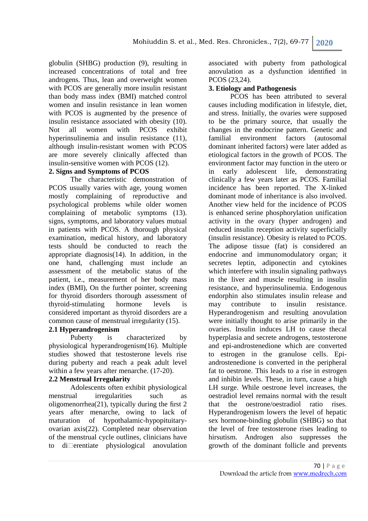globulin (SHBG) production (9), resulting in increased concentrations of total and free androgens. Thus, lean and overweight women with PCOS are generally more insulin resistant than body mass index (BMI) matched control women and insulin resistance in lean women with PCOS is augmented by the presence of insulin resistance associated with obesity (10). Not all women with PCOS exhibit hyperinsulinemia and insulin resistance (11), although insulin-resistant women with PCOS are more severely clinically affected than insulin-sensitive women with PCOS (12).

### **2. Signs and Symptoms of PCOS**

The characteristic demonstration of PCOS usually varies with age, young women mostly complaining of reproductive and psychological problems while older women complaining of metabolic symptoms (13). signs, symptoms, and laboratory values mutual in patients with PCOS. A thorough physical examination, medical history, and laboratory tests should be conducted to reach the appropriate diagnosis(14). In addition, in the one hand, challenging must include an assessment of the metabolic status of the patient, i.e., measurement of her body mass index (BMI), On the further pointer, screening for thyroid disorders thorough assessment of thyroid-stimulating hormone levels is considered important as thyroid disorders are a common cause of menstrual irregularity (15).

### **2.1 Hyperandrogenism**

Puberty is characterized by physiological hyperandrogenism(16). Multiple studies showed that testosterone levels rise during puberty and reach a peak adult level within a few years after menarche. (17-20).

### **2.2 Menstrual Irregularity**

Adolescents often exhibit physiological menstrual irregularities such as oligomenorrhea(21), typically during the first 2 years after menarche, owing to lack of maturation of hypothalamic-hypopituitaryovarian axis(22). Completed near observation of the menstrual cycle outlines, clinicians have to  $di$  erentiate physiological anovulation associated with puberty from pathological anovulation as a dysfunction identified in PCOS (23,24).

### **3. Etiology and Pathogenesis**

PCOS has been attributed to several causes including modification in lifestyle, diet, and stress. Initially, the ovaries were supposed to be the primary source, that usually the changes in the endocrine pattern. Genetic and familial environment factors (autosomal dominant inherited factors) were later added as etiological factors in the growth of PCOS. The environment factor may function in the utero or in early adolescent life, demonstrating clinically a few years later as PCOS. Familial incidence has been reported. The X-linked dominant mode of inheritance is also involved. Another view held for the incidence of PCOS is enhanced serine phosphorylation unification activity in the ovary (hyper androgen) and reduced insulin reception activity superficially (insulin resistance). Obesity is related to PCOS. The adipose tissue (fat) is considered an endocrine and immunomodulatory organ; it secretes leptin, adiponectin and cytokines which interfere with insulin signaling pathways in the liver and muscle resulting in insulin resistance, and hyperinsulinemia. Endogenous endorphin also stimulates insulin release and may contribute to insulin resistance. Hyperandrogenism and resulting anovulation were initially thought to arise primarily in the ovaries. Insulin induces LH to cause thecal hyperplasia and secrete androgens, testosterone and epi-androstenedione which are converted to estrogen in the granulose cells. Epiandrostenedione is converted in the peripheral fat to oestrone. This leads to a rise in estrogen and inhibin levels. These, in turn, cause a high LH surge. While oestrone level increases, the oestradiol level remains normal with the result that the oestrone/oestradiol ratio rises. Hyperandrogenism lowers the level of hepatic sex hormone-binding globulin (SHBG) so that the level of free testosterone rises leading to hirsutism. Androgen also suppresses the growth of the dominant follicle and prevents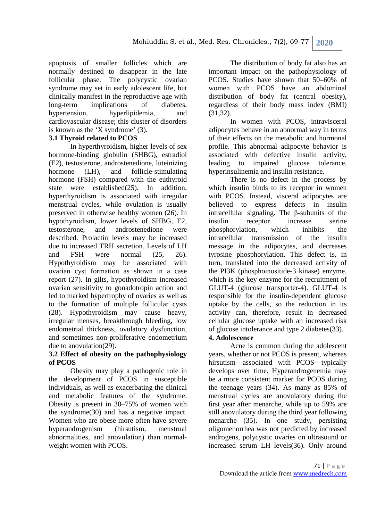apoptosis of smaller follicles which are normally destined to disappear in the late follicular phase. The polycystic ovarian syndrome may set in early adolescent life, but clinically manifest in the reproductive age with long-term implications of diabetes, hypertension, hyperlipidemia, and cardiovascular disease; this cluster of disorders is known as the 'X syndrome' (3).

### **3.1 Thyroid related to PCOS**

In hyperthyroidism, higher levels of sex hormone-binding globulin (SHBG), estradiol (E2), testosterone, androstenedione, luteinizing hormone (LH), and follicle-stimulating hormone (FSH) compared with the euthyroid state were established(25). In addition, hyperthyroidism is associated with irregular menstrual cycles, while ovulation is usually preserved in otherwise healthy women (26). In hypothyroidism, lower levels of SHBG, E2, testosterone, and androstenedione were described. Prolactin levels may be increased due to increased TRH secretion. Levels of LH and FSH were normal (25, 26). Hypothyroidism may be associated with ovarian cyst formation as shown in a case report (27). In gilts, hypothyroidism increased ovarian sensitivity to gonadotropin action and led to marked hypertrophy of ovaries as well as to the formation of multiple follicular cysts (28). Hypothyroidism may cause heavy, irregular menses, breakthrough bleeding, low endometrial thickness, ovulatory dysfunction, and sometimes non-proliferative endometrium due to anovulation(29).

### **3.2 Effect of obesity on the pathophysiology of PCOS**

Obesity may play a pathogenic role in the development of PCOS in susceptible individuals, as well as exacerbating the clinical and metabolic features of the syndrome. Obesity is present in 30–75% of women with the syndrome(30) and has a negative impact. Women who are obese more often have severe hyperandrogenism (hirsutism, menstrual abnormalities, and anovulation) than normalweight women with PCOS.

The distribution of body fat also has an important impact on the pathophysiology of PCOS. Studies have shown that 50–60% of women with PCOS have an abdominal distribution of body fat (central obesity), regardless of their body mass index (BMI) (31,32).

In women with PCOS, intravisceral adipocytes behave in an abnormal way in terms of their effects on the metabolic and hormonal profile. This abnormal adipocyte behavior is associated with defective insulin activity, leading to impaired glucose tolerance, hyperinsulinemia and insulin resistance.

There is no defect in the process by which insulin binds to its receptor in women with PCOS. Instead, visceral adipocytes are believed to express defects in insulin intracellular signaling. The β-subunits of the insulin receptor increase serine phosphorylation, which inhibits the intracellular transmission of the insulin message in the adipocytes, and decreases tyrosine phosphorylation. This defect is, in turn, translated into the decreased activity of the PI3K (phosphoinositide-3 kinase) enzyme, which is the key enzyme for the recruitment of GLUT-4 (glucose transporter-4). GLUT-4 is responsible for the insulin-dependent glucose uptake by the cells, so the reduction in its activity can, therefore, result in decreased cellular glucose uptake with an increased risk of glucose intolerance and type 2 diabetes(33).

### **4. Adolescence**

Acne is common during the adolescent years, whether or not PCOS is present, whereas hirsutism—associated with PCOS—typically develops over time. Hyperandrogenemia may be a more consistent marker for PCOS during the teenage years (34). As many as 85% of menstrual cycles are anovulatory during the first year after menarche, while up to 59% are still anovulatory during the third year following menarche (35). In one study, persisting oligomenorrhea was not predicted by increased androgens, polycystic ovaries on ultrasound or increased serum LH levels(36). Only around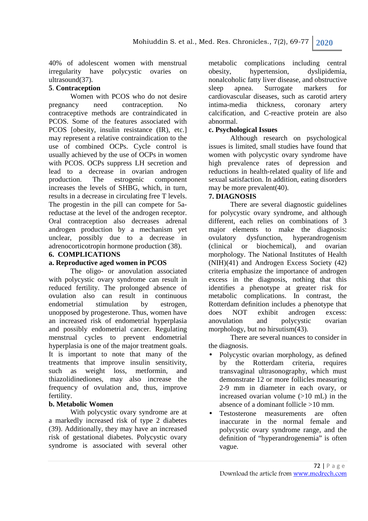40% of adolescent women with menstrual irregularity have polycystic ovaries on ultrasound(37).

## **5**. **Contraception**

Women with PCOS who do not desire pregnancy need contraception. No contraceptive methods are contraindicated in PCOS. Some of the features associated with PCOS [obesity, insulin resistance (IR), etc.] may represent a relative contraindication to the use of combined OCPs. Cycle control is usually achieved by the use of OCPs in women with PCOS. OCPs suppress LH secretion and lead to a decrease in ovarian androgen production. The estrogenic component increases the levels of SHBG, which, in turn, results in a decrease in circulating free T levels. The progestin in the pill can compete for 5areductase at the level of the androgen receptor. Oral contraception also decreases adrenal androgen production by a mechanism yet unclear, possibly due to a decrease in adrenocorticotropin hormone production (38).

### **6. COMPLICATIONS**

### **a. Reproductive aged women in PCOS**

The oligo- or anovulation associated with polycystic ovary syndrome can result in reduced fertility. The prolonged absence of ovulation also can result in continuous endometrial stimulation by estrogen, unopposed by progesterone. Thus, women have an increased risk of endometrial hyperplasia and possibly endometrial cancer. Regulating menstrual cycles to prevent endometrial hyperplasia is one of the major treatment goals. It is important to note that many of the treatments that improve insulin sensitivity, such as weight loss, metformin, and thiazolidinediones, may also increase the frequency of ovulation and, thus, improve fertility.

### **b. Metabolic Women**

With polycystic ovary syndrome are at a markedly increased risk of type 2 diabetes (39). Additionally, they may have an increased risk of gestational diabetes. Polycystic ovary syndrome is associated with several other

metabolic complications including central obesity, hypertension, dyslipidemia, nonalcoholic fatty liver disease, and obstructive sleep apnea. Surrogate markers for cardiovascular diseases, such as carotid artery intima-media thickness, coronary artery calcification, and C-reactive protein are also abnormal.

## **c. Psychological Issues**

Although research on psychological issues is limited, small studies have found that women with polycystic ovary syndrome have high prevalence rates of depression and reductions in health-related quality of life and sexual satisfaction. In addition, eating disorders may be more prevalent(40).

### **7. DIAGNOSIS**

There are several diagnostic guidelines for polycystic ovary syndrome, and although different, each relies on combinations of 3 major elements to make the diagnosis: ovulatory dysfunction, hyperandrogenism (clinical or biochemical), and ovarian morphology. The National Institutes of Health (NIH)(41) and Androgen Excess Society (42) criteria emphasize the importance of androgen excess in the diagnosis, nothing that this identifies a phenotype at greater risk for metabolic complications. In contrast, the Rotterdam definition includes a phenotype that does NOT exhibit androgen excess: anovulation and polycystic ovarian morphology, but no hirsutism(43).

There are several nuances to consider in the diagnosis.

- Polycystic ovarian morphology, as defined by the Rotterdam criteria, requires transvaginal ultrasonography, which must demonstrate 12 or more follicles measuring 2-9 mm in diameter in each ovary, or increased ovarian volume  $(>10 \text{ mL})$  in the absence of a dominant follicle >10 mm.
- Testosterone measurements are often inaccurate in the normal female and polycystic ovary syndrome range, and the definition of "hyperandrogenemia" is often vague.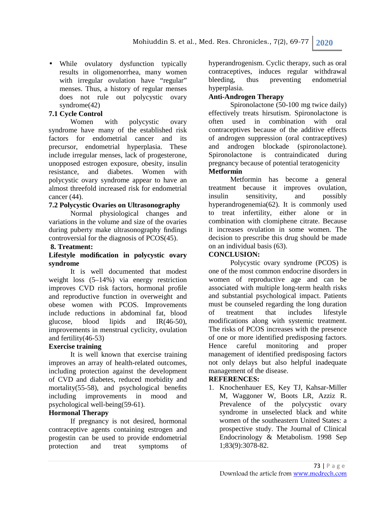• While ovulatory dysfunction typically results in oligomenorrhea, many women with irregular ovulation have "regular" menses. Thus, a history of regular menses does not rule out polycystic ovary syndrome(42)

## **7.1 Cycle Control**

Women with polycystic ovary syndrome have many of the established risk factors for endometrial cancer and its precursor, endometrial hyperplasia. These include irregular menses, lack of progesterone, unopposed estrogen exposure, obesity, insulin resistance, and diabetes. Women with polycystic ovary syndrome appear to have an almost threefold increased risk for endometrial cancer (44).

### **7.2 Polycystic Ovaries on Ultrasonography**

Normal physiological changes and variations in the volume and size of the ovaries during puberty make ultrasonography findings controversial for the diagnosis of PCOS(45).

### **8. Treatment:**

### **Lifestyle modification in polycystic ovary syndrome**

It is well documented that modest weight loss (5–14%) via energy restriction improves CVD risk factors, hormonal profile and reproductive function in overweight and obese women with PCOS. Improvements include reductions in abdominal fat, blood glucose, blood lipids and IR(46-50), improvements in menstrual cyclicity, ovulation and fertility(46-53)

### **Exercise training**

It is well known that exercise training improves an array of health-related outcomes, including protection against the development of CVD and diabetes, reduced morbidity and mortality(55-58), and psychological benefits including improvements in mood and psychological well-being(59-61).

### **Hormonal Therapy**

If pregnancy is not desired, hormonal contraceptive agents containing estrogen and progestin can be used to provide endometrial protection and treat symptoms of hyperandrogenism. Cyclic therapy, such as oral contraceptives, induces regular withdrawal bleeding, thus preventing endometrial hyperplasia.

### **Anti-Androgen Therapy**

Spironolactone (50-100 mg twice daily) effectively treats hirsutism. Spironolactone is often used in combination with oral contraceptives because of the additive effects of androgen suppression (oral contraceptives) and androgen blockade (spironolactone). Spironolactone is contraindicated during pregnancy because of potential teratogenicity

### **Metformin**

Metformin has become a general treatment because it improves ovulation, insulin sensitivity, and possibly hyperandrogenemia(62). It is commonly used to treat infertility, either alone or in combination with clomiphene citrate. Because it increases ovulation in some women. The decision to prescribe this drug should be made on an individual basis (63).

### **CONCLUSION:**

Polycystic ovary syndrome (PCOS) is one of the most common endocrine disorders in women of reproductive age and can be associated with multiple long-term health risks and substantial psychological impact. Patients must be counseled regarding the long duration of treatment that includes lifestyle modifications along with systemic treatment. The risks of PCOS increases with the presence of one or more identified predisposing factors. Hence careful monitoring and proper management of identified predisposing factors not only delays but also helpful inadequate management of the disease.

### **REFERENCES:**

1. Knochenhauer ES, Key TJ, Kahsar-Miller M, Waggoner W, Boots LR, Azziz R. Prevalence of the polycystic ovary syndrome in unselected black and white women of the southeastern United States: a prospective study. The Journal of Clinical Endocrinology & Metabolism. 1998 Sep 1;83(9):3078-82.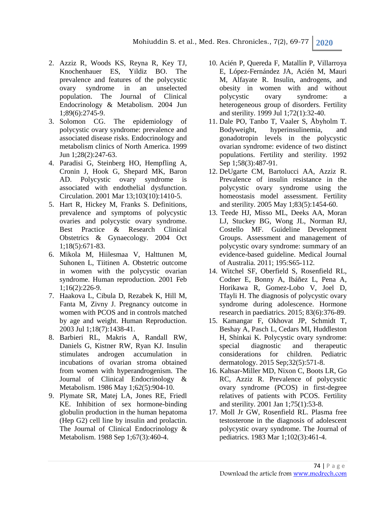Mohiuddin S. et al., Med. Res. Chronicles., 7(2), 69-77 **2020**

- 2. Azziz R, Woods KS, Reyna R, Key TJ, Knochenhauer ES, Yildiz BO. The prevalence and features of the polycystic ovary syndrome in an unselected population. The Journal of Clinical Endocrinology & Metabolism. 2004 Jun 1;89(6):2745-9.
- 3. Solomon CG. The epidemiology of polycystic ovary syndrome: prevalence and associated disease risks. Endocrinology and metabolism clinics of North America. 1999 Jun 1;28(2):247-63.
- 4. Paradisi G, Steinberg HO, Hempfling A, Cronin J, Hook G, Shepard MK, Baron AD. Polycystic ovary syndrome is associated with endothelial dysfunction. Circulation. 2001 Mar 13;103(10):1410-5.
- 5. Hart R, Hickey M, Franks S. Definitions, prevalence and symptoms of polycystic ovaries and polycystic ovary syndrome. Best Practice & Research Clinical Obstetrics & Gynaecology. 2004 Oct 1;18(5):671-83.
- 6. Mikola M, Hiilesmaa V, Halttunen M, Suhonen L, Tiitinen A. Obstetric outcome in women with the polycystic ovarian syndrome. Human reproduction. 2001 Feb 1;16(2):226-9.
- 7. Haakova L, Cibula D, Rezabek K, Hill M, Fanta M, Zivny J. Pregnancy outcome in women with PCOS and in controls matched by age and weight. Human Reproduction. 2003 Jul 1;18(7):1438-41.
- 8. Barbieri RL, Makris A, Randall RW, Daniels G, Kistner RW, Ryan KJ. Insulin stimulates androgen accumulation in incubations of ovarian stroma obtained from women with hyperandrogenism. The Journal of Clinical Endocrinology & Metabolism. 1986 May 1;62(5):904-10.
- 9. Plymate SR, Matej LA, Jones RE, Friedl KE. Inhibition of sex hormone-binding globulin production in the human hepatoma (Hep G2) cell line by insulin and prolactin. The Journal of Clinical Endocrinology & Metabolism. 1988 Sep 1;67(3):460-4.
- 10. Acién P, Quereda F, Matallín P, Villarroya E, López-Fernández JA, Acién M, Mauri M, Alfayate R. Insulin, androgens, and obesity in women with and without polycystic ovary syndrome: a heterogeneous group of disorders. Fertility and sterility. 1999 Jul 1;72(1):32-40.
- 11. Dale PO, Tanbo T, Vaaler S, Åbyholm T. Bodyweight, hyperinsulinemia, and gonadotropin levels in the polycystic ovarian syndrome: evidence of two distinct populations. Fertility and sterility. 1992 Sep 1;58(3):487-91.
- 12. DeUgarte CM, Bartolucci AA, Azziz R. Prevalence of insulin resistance in the polycystic ovary syndrome using the homeostasis model assessment. Fertility and sterility. 2005 May 1;83(5):1454-60.
- 13. Teede HJ, Misso ML, Deeks AA, Moran LJ, Stuckey BG, Wong JL, Norman RJ, Costello MF. Guideline Development Groups. Assessment and management of polycystic ovary syndrome: summary of an evidence-based guideline. Medical Journal of Australia. 2011; 195:S65-112.
- 14. Witchel SF, Oberfield S, Rosenfield RL, Codner E, Bonny A, Ibáñez L, Pena A, Horikawa R, Gomez-Lobo V, Joel D, Tfayli H. The diagnosis of polycystic ovary syndrome during adolescence. Hormone research in paediatrics. 2015; 83(6):376-89.
- 15. Kamangar F, Okhovat JP, Schmidt T, Beshay A, Pasch L, Cedars MI, Huddleston H, Shinkai K. Polycystic ovary syndrome: special diagnostic and therapeutic considerations for children. Pediatric dermatology. 2015 Sep;32(5):571-8.
- 16. Kahsar-Miller MD, Nixon C, Boots LR, Go RC, Azziz R. Prevalence of polycystic ovary syndrome (PCOS) in first-degree relatives of patients with PCOS. Fertility and sterility. 2001 Jan 1;75(1):53-8.
- 17. Moll Jr GW, Rosenfield RL. Plasma free testosterone in the diagnosis of adolescent polycystic ovary syndrome. The Journal of pediatrics. 1983 Mar 1;102(3):461-4.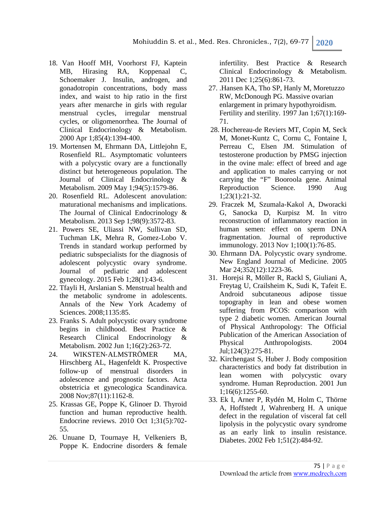- 18. Van Hooff MH, Voorhorst FJ, Kaptein MB, Hirasing RA, Koppenaal C, Schoemaker J. Insulin, androgen, and gonadotropin concentrations, body mass index, and waist to hip ratio in the first years after menarche in girls with regular menstrual cycles, irregular menstrual cycles, or oligomenorrhea. The Journal of Clinical Endocrinology & Metabolism. 2000 Apr 1;85(4):1394-400.
- 19. Mortensen M, Ehrmann DA, Littlejohn E, Rosenfield RL. Asymptomatic volunteers with a polycystic ovary are a functionally distinct but heterogeneous population. The Journal of Clinical Endocrinology & Metabolism. 2009 May 1;94(5):1579-86.
- 20. Rosenfield RL. Adolescent anovulation: maturational mechanisms and implications. The Journal of Clinical Endocrinology & Metabolism. 2013 Sep 1;98(9):3572-83.
- 21. Powers SE, Uliassi NW, Sullivan SD, Tuchman LK, Mehra R, Gomez-Lobo V. Trends in standard workup performed by pediatric subspecialists for the diagnosis of adolescent polycystic ovary syndrome. Journal of pediatric and adolescent gynecology. 2015 Feb 1;28(1):43-6.
- 22. Tfayli H, Arslanian S. Menstrual health and the metabolic syndrome in adolescents. Annals of the New York Academy of Sciences. 2008;1135:85.
- 23. Franks S. Adult polycystic ovary syndrome begins in childhood. Best Practice & Research Clinical Endocrinology & Metabolism. 2002 Jun 1;16(2):263-72.
- 24. WIKSTEN‐ALMSTRÖMER MA, Hirschberg AL, Hagenfeldt K. Prospective follow‐up of menstrual disorders in adolescence and prognostic factors. Acta obstetricia et gynecologica Scandinavica. 2008 Nov;87(11):1162-8.
- 25. Krassas GE, Poppe K, Glinoer D. Thyroid function and human reproductive health. Endocrine reviews. 2010 Oct 1;31(5):702- 55.
- 26. Unuane D, Tournaye H, Velkeniers B, Poppe K. Endocrine disorders & female

infertility. Best Practice & Research Clinical Endocrinology & Metabolism. 2011 Dec 1;25(6):861-73.

- 27. .Hansen KA, Tho SP, Hanly M, Moretuzzo RW, McDonough PG. Massive ovarian enlargement in primary hypothyroidism. Fertility and sterility. 1997 Jan 1;67(1):169- 71.
- 28. Hochereau-de Reviers MT, Copin M, Seck M, Monet-Kuntz C, Cornu C, Fontaine I, Perreau C, Elsen JM. Stimulation of testosterone production by PMSG injection in the ovine male: effect of breed and age and application to males carrying or not carrying the "F" Booroola gene. Animal Reproduction Science. 1990 Aug 1;23(1):21-32.
- 29. Fraczek M, Szumala-Kakol A, Dworacki G, Sanocka D, Kurpisz M. In vitro reconstruction of inflammatory reaction in human semen: effect on sperm DNA fragmentation. Journal of reproductive immunology. 2013 Nov 1;100(1):76-85.
- 30. Ehrmann DA. Polycystic ovary syndrome. New England Journal of Medicine. 2005 Mar 24:352(12):1223-36.
- 31. Horejsi R, Möller R, Rackl S, Giuliani A, Freytag U, Crailsheim K, Sudi K, Tafeit E. Android subcutaneous adipose tissue topography in lean and obese women suffering from PCOS: comparison with type 2 diabetic women. American Journal of Physical Anthropology: The Official Publication of the American Association of Physical Anthropologists. 2004 Jul;124(3):275-81.
- 32. Kirchengast S, Huber J. Body composition characteristics and body fat distribution in lean women with polycystic ovary syndrome. Human Reproduction. 2001 Jun 1;16(6):1255-60.
- 33. Ek I, Arner P, Rydén M, Holm C, Thörne A, Hoffstedt J, Wahrenberg H. A unique defect in the regulation of visceral fat cell lipolysis in the polycystic ovary syndrome as an early link to insulin resistance. Diabetes. 2002 Feb 1;51(2):484-92.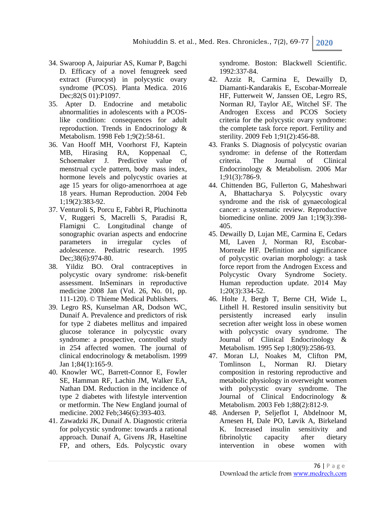Mohiuddin S. et al., Med. Res. Chronicles., 7(2), 69-77 **2020**

- 34. Swaroop A, Jaipuriar AS, Kumar P, Bagchi D. Efficacy of a novel fenugreek seed extract (Furocyst) in polycystic ovary syndrome (PCOS). Planta Medica. 2016 Dec;82(S 01):P1097.
- 35. Apter D. Endocrine and metabolic abnormalities in adolescents with a PCOSlike condition: consequences for adult reproduction. Trends in Endocrinology & Metabolism. 1998 Feb 1;9(2):58-61.
- 36. Van Hooff MH, Voorhorst FJ, Kaptein MB, Hirasing RA, Koppenaal C, Schoemaker J. Predictive value of menstrual cycle pattern, body mass index, hormone levels and polycystic ovaries at age 15 years for oligo‐amenorrhoea at age 18 years. Human Reproduction. 2004 Feb 1;19(2):383-92.
- 37. Venturoli S, Porcu E, Fabbri R, Pluchinotta V, Ruggeri S, Macrelli S, Paradisi R, Flamigni C. Longitudinal change of sonographic ovarian aspects and endocrine parameters in irregular cycles of adolescence. Pediatric research. 1995 Dec; 38(6): 974-80.
- 38. Yildiz BO. Oral contraceptives in polycystic ovary syndrome: risk-benefit assessment. InSeminars in reproductive medicine 2008 Jan (Vol. 26, No. 01, pp. 111-120). © Thieme Medical Publishers.
- 39. Legro RS, Kunselman AR, Dodson WC, Dunaif A. Prevalence and predictors of risk for type 2 diabetes mellitus and impaired glucose tolerance in polycystic ovary syndrome: a prospective, controlled study in 254 affected women. The journal of clinical endocrinology & metabolism. 1999 Jan 1;84(1):165-9.
- 40. Knowler WC, Barrett-Connor E, Fowler SE, Hamman RF, Lachin JM, Walker EA, Nathan DM. Reduction in the incidence of type 2 diabetes with lifestyle intervention or metformin. The New England journal of medicine. 2002 Feb;346(6):393-403.
- 41. Zawadzki JK, Dunaif A. Diagnostic criteria for polycystic syndrome: towards a rational approach. Dunaif A, Givens JR, Haseltine FP, and others, Eds. Polycystic ovary

syndrome. Boston: Blackwell Scientific. 1992:337-84.

- 42. Azziz R, Carmina E, Dewailly D, Diamanti-Kandarakis E, Escobar-Morreale HF, Futterweit W, Janssen OE, Legro RS, Norman RJ, Taylor AE, Witchel SF. The Androgen Excess and PCOS Society criteria for the polycystic ovary syndrome: the complete task force report. Fertility and sterility. 2009 Feb 1;91(2):456-88.
- 43. Franks S. Diagnosis of polycystic ovarian syndrome: in defense of the Rotterdam criteria. The Journal of Clinical Endocrinology & Metabolism. 2006 Mar 1;91(3):786-9.
- 44. Chittenden BG, Fullerton G, Maheshwari A, Bhattacharya S. Polycystic ovary syndrome and the risk of gynaecological cancer: a systematic review. Reproductive biomedicine online. 2009 Jan 1;19(3):398- 405.
- 45. Dewailly D, Lujan ME, Carmina E, Cedars MI, Laven J, Norman RJ, Escobar-Morreale HF. Definition and significance of polycystic ovarian morphology: a task force report from the Androgen Excess and Polycystic Ovary Syndrome Society. Human reproduction update. 2014 May 1;20(3):334-52.
- 46. Holte J, Bergh T, Berne CH, Wide L, Lithell H. Restored insulin sensitivity but persistently increased early insulin secretion after weight loss in obese women with polycystic ovary syndrome. The Journal of Clinical Endocrinology & Metabolism. 1995 Sep 1;80(9):2586-93.
- 47. Moran LJ, Noakes M, Clifton PM, Tomlinson L, Norman RJ. Dietary composition in restoring reproductive and metabolic physiology in overweight women with polycystic ovary syndrome. The Journal of Clinical Endocrinology & Metabolism. 2003 Feb 1;88(2):812-9.
- 48. Andersen P, Seljeflot I, Abdelnoor M, Arnesen H, Dale PO, Løvik A, Birkeland K. Increased insulin sensitivity and fibrinolytic capacity after dietary<br>intervention in obese women with intervention in obese women with